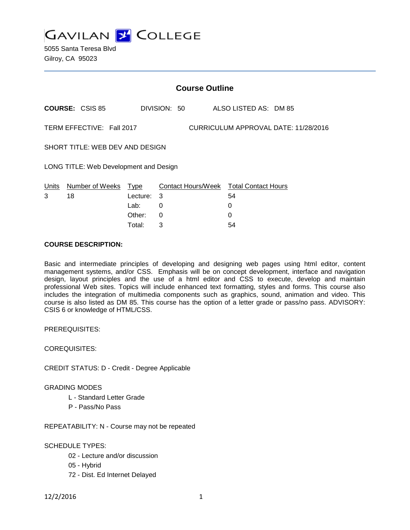

|                                        | <b>Course Outline</b>            |                  |              |  |                                                   |                                      |
|----------------------------------------|----------------------------------|------------------|--------------|--|---------------------------------------------------|--------------------------------------|
|                                        | <b>COURSE: CSIS 85</b>           |                  | DIVISION: 50 |  | ALSO LISTED AS: DM 85                             |                                      |
|                                        | TERM EFFECTIVE: Fall 2017        |                  |              |  |                                                   | CURRICULUM APPROVAL DATE: 11/28/2016 |
| SHORT TITLE: WEB DEV AND DESIGN        |                                  |                  |              |  |                                                   |                                      |
| LONG TITLE: Web Development and Design |                                  |                  |              |  |                                                   |                                      |
| 3                                      | Units Number of Weeks Type<br>18 | Lecture:<br>Lab: | 3<br>0       |  | Contact Hours/Week Total Contact Hours<br>54<br>0 |                                      |
|                                        |                                  | Other:           | 0            |  | 0                                                 |                                      |

Total: 3 54

#### **COURSE DESCRIPTION:**

Basic and intermediate principles of developing and designing web pages using html editor, content management systems, and/or CSS. Emphasis will be on concept development, interface and navigation design, layout principles and the use of a html editor and CSS to execute, develop and maintain professional Web sites. Topics will include enhanced text formatting, styles and forms. This course also includes the integration of multimedia components such as graphics, sound, animation and video. This course is also listed as DM 85. This course has the option of a letter grade or pass/no pass. ADVISORY: CSIS 6 or knowledge of HTML/CSS.

PREREQUISITES:

COREQUISITES:

CREDIT STATUS: D - Credit - Degree Applicable

GRADING MODES

- L Standard Letter Grade
- P Pass/No Pass

REPEATABILITY: N - Course may not be repeated

SCHEDULE TYPES:

- 02 Lecture and/or discussion
- 05 Hybrid
- 72 Dist. Ed Internet Delayed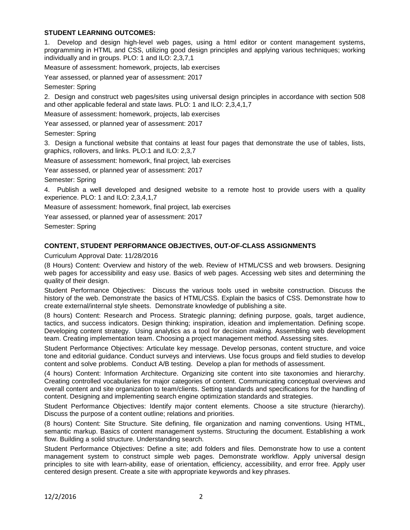# **STUDENT LEARNING OUTCOMES:**

Develop and design high-level web pages, using a html editor or content management systems, programming in HTML and CSS, utilizing good design principles and applying various techniques; working individually and in groups. PLO: 1 and ILO: 2,3,7,1

Measure of assessment: homework, projects, lab exercises

Year assessed, or planned year of assessment: 2017

Semester: Spring

2. Design and construct web pages/sites using universal design principles in accordance with section 508 and other applicable federal and state laws. PLO: 1 and ILO: 2,3,4,1,7

Measure of assessment: homework, projects, lab exercises

Year assessed, or planned year of assessment: 2017

Semester: Spring

3. Design a functional website that contains at least four pages that demonstrate the use of tables, lists, graphics, rollovers, and links. PLO:1 and ILO: 2,3,7

Measure of assessment: homework, final project, lab exercises

Year assessed, or planned year of assessment: 2017

Semester: Spring

4. Publish a well developed and designed website to a remote host to provide users with a quality experience. PLO: 1 and ILO: 2,3,4,1,7

Measure of assessment: homework, final project, lab exercises

Year assessed, or planned year of assessment: 2017

Semester: Spring

#### **CONTENT, STUDENT PERFORMANCE OBJECTIVES, OUT-OF-CLASS ASSIGNMENTS**

Curriculum Approval Date: 11/28/2016

(8 Hours) Content: Overview and history of the web. Review of HTML/CSS and web browsers. Designing web pages for accessibility and easy use. Basics of web pages. Accessing web sites and determining the quality of their design.

Student Performance Objectives: Discuss the various tools used in website construction. Discuss the history of the web. Demonstrate the basics of HTML/CSS. Explain the basics of CSS. Demonstrate how to create external/internal style sheets. Demonstrate knowledge of publishing a site.

(8 hours) Content: Research and Process. Strategic planning; defining purpose, goals, target audience, tactics, and success indicators. Design thinking; inspiration, ideation and implementation. Defining scope. Developing content strategy. Using analytics as a tool for decision making. Assembling web development team. Creating implementation team. Choosing a project management method. Assessing sites.

Student Performance Objectives: Articulate key message. Develop personas, content structure, and voice tone and editorial guidance. Conduct surveys and interviews. Use focus groups and field studies to develop content and solve problems. Conduct A/B testing. Develop a plan for methods of assessment.

(4 hours) Content: Information Architecture. Organizing site content into site taxonomies and hierarchy. Creating controlled vocabularies for major categories of content. Communicating conceptual overviews and overall content and site organization to team/clients. Setting standards and specifications for the handling of content. Designing and implementing search engine optimization standards and strategies.

Student Performance Objectives: Identify major content elements. Choose a site structure (hierarchy). Discuss the purpose of a content outline; relations and priorities.

(8 hours) Content: Site Structure. Site defining, file organization and naming conventions. Using HTML, semantic markup. Basics of content management systems. Structuring the document. Establishing a work flow. Building a solid structure. Understanding search.

Student Performance Objectives: Define a site; add folders and files. Demonstrate how to use a content management system to construct simple web pages. Demonstrate workflow. Apply universal design principles to site with learn-ability, ease of orientation, efficiency, accessibility, and error free. Apply user centered design present. Create a site with appropriate keywords and key phrases.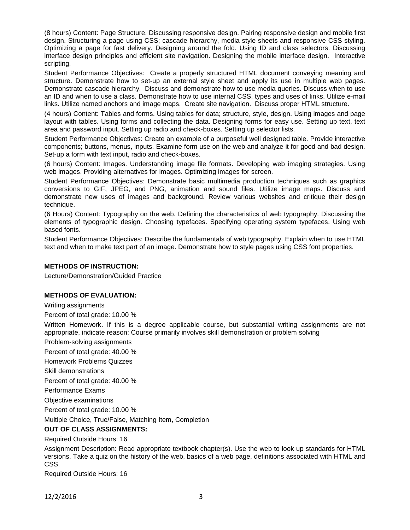(8 hours) Content: Page Structure. Discussing responsive design. Pairing responsive design and mobile first design. Structuring a page using CSS; cascade hierarchy, media style sheets and responsive CSS styling. Optimizing a page for fast delivery. Designing around the fold. Using ID and class selectors. Discussing interface design principles and efficient site navigation. Designing the mobile interface design. Interactive scripting.

Student Performance Objectives: Create a properly structured HTML document conveying meaning and structure. Demonstrate how to set-up an external style sheet and apply its use in multiple web pages. Demonstrate cascade hierarchy. Discuss and demonstrate how to use media queries. Discuss when to use an ID and when to use a class. Demonstrate how to use internal CSS, types and uses of links. Utilize e-mail links. Utilize named anchors and image maps. Create site navigation. Discuss proper HTML structure.

(4 hours) Content: Tables and forms. Using tables for data; structure, style, design. Using images and page layout with tables. Using forms and collecting the data. Designing forms for easy use. Setting up text, text area and password input. Setting up radio and check-boxes. Setting up selector lists.

Student Performance Objectives: Create an example of a purposeful well designed table. Provide interactive components; buttons, menus, inputs. Examine form use on the web and analyze it for good and bad design. Set-up a form with text input, radio and check-boxes.

(6 hours) Content: Images. Understanding image file formats. Developing web imaging strategies. Using web images. Providing alternatives for images. Optimizing images for screen.

Student Performance Objectives: Demonstrate basic multimedia production techniques such as graphics conversions to GIF, JPEG, and PNG, animation and sound files. Utilize image maps. Discuss and demonstrate new uses of images and background. Review various websites and critique their design technique.

(6 Hours) Content: Typography on the web. Defining the characteristics of web typography. Discussing the elements of typographic design. Choosing typefaces. Specifying operating system typefaces. Using web based fonts.

Student Performance Objectives: Describe the fundamentals of web typography. Explain when to use HTML text and when to make text part of an image. Demonstrate how to style pages using CSS font properties.

#### **METHODS OF INSTRUCTION:**

Lecture/Demonstration/Guided Practice

# **METHODS OF EVALUATION:**

Writing assignments

Percent of total grade: 10.00 %

Written Homework. If this is a degree applicable course, but substantial writing assignments are not appropriate, indicate reason: Course primarily involves skill demonstration or problem solving

Problem-solving assignments

Percent of total grade: 40.00 %

Homework Problems Quizzes

Skill demonstrations

Percent of total grade: 40.00 %

Performance Exams

Objective examinations

Percent of total grade: 10.00 %

Multiple Choice, True/False, Matching Item, Completion

**OUT OF CLASS ASSIGNMENTS:**

Required Outside Hours: 16

Assignment Description: Read appropriate textbook chapter(s). Use the web to look up standards for HTML versions. Take a quiz on the history of the web, basics of a web page, definitions associated with HTML and CSS.

Required Outside Hours: 16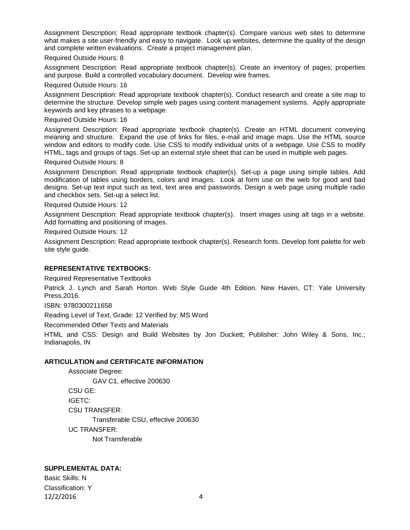Assignment Description: Read appropriate textbook chapter(s). Compare various web sites to determine what makes a site user-friendly and easy to navigate. Look up websites, determine the quality of the design and complete written evaluations. Create a project management plan.

Required Outside Hours: 8

Assignment Description: Read appropriate textbook chapter(s). Create an inventory of pages; properties and purpose. Build a controlled vocabulary document. Develop wire frames.

Required Outside Hours: 16

Assignment Description: Read appropriate textbook chapter(s). Conduct research and create a site map to determine the structure. Develop simple web pages using content management systems. Apply appropriate keywords and key phrases to a webpage.

Required Outside Hours: 16

Assignment Description: Read appropriate textbook chapter(s). Create an HTML document conveying meaning and structure. Expand the use of links for files, e-mail and image maps. Use the HTML source window and editors to modify code. Use CSS to modify individual units of a webpage. Use CSS to modify HTML, tags and groups of tags. Set-up an external style sheet that can be used in multiple web pages.

Required Outside Hours: 8

Assignment Description: Read appropriate textbook chapter(s). Set-up a page using simple tables. Add modification of tables using borders, colors and images. Look at form use on the web for good and bad designs. Set-up text input such as text, text area and passwords. Design a web page using multiple radio and checkbox sets. Set-up a select list.

Required Outside Hours: 12

Assignment Description: Read appropriate textbook chapter(s). Insert images using alt tags in a website. Add formatting and positioning of images.

Required Outside Hours: 12

Assignment Description: Read appropriate textbook chapter(s). Research fonts. Develop font palette for web site style guide.

# **REPRESENTATIVE TEXTBOOKS:**

Required Representative Textbooks

Patrick J. Lynch and Sarah Horton. Web Style Guide 4th Edition. New Haven, CT: Yale University Press,2016.

ISBN: 9780300211658

Reading Level of Text, Grade: 12 Verified by: MS Word

Recommended Other Texts and Materials

HTML and CSS: Design and Build Websites by Jon Duckett; Publisher: John Wiley & Sons, Inc.; Indianapolis, IN

# **ARTICULATION and CERTIFICATE INFORMATION**

Associate Degree: GAV C1, effective 200630 CSU GE: IGETC: CSU TRANSFER: Transferable CSU, effective 200630 UC TRANSFER: Not Transferable

# **SUPPLEMENTAL DATA:**

Basic Skills: N Classification: Y 12/2/2016 4